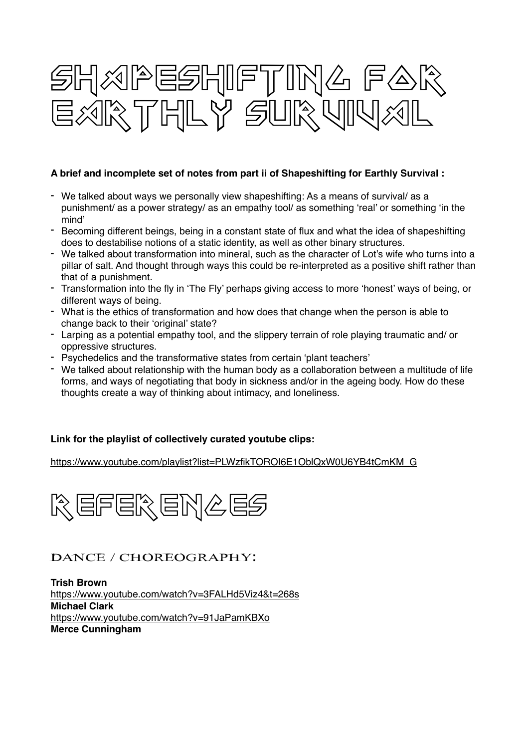

#### **A brief and incomplete set of notes from part ii of Shapeshifting for Earthly Survival :**

- We talked about ways we personally view shapeshifting: As a means of survival/ as a punishment/ as a power strategy/ as an empathy tool/ as something 'real' or something 'in the mind'
- Becoming different beings, being in a constant state of flux and what the idea of shapeshifting does to destabilise notions of a static identity, as well as other binary structures.
- We talked about transformation into mineral, such as the character of Lot's wife who turns into a pillar of salt. And thought through ways this could be re-interpreted as a positive shift rather than that of a punishment.
- Transformation into the fly in 'The Fly' perhaps giving access to more 'honest' ways of being, or different ways of being.
- What is the ethics of transformation and how does that change when the person is able to change back to their 'original' state?
- Larping as a potential empathy tool, and the slippery terrain of role playing traumatic and/ or oppressive structures.
- Psychedelics and the transformative states from certain 'plant teachers'
- We talked about relationship with the human body as a collaboration between a multitude of life forms, and ways of negotiating that body in sickness and/or in the ageing body. How do these thoughts create a way of thinking about intimacy, and loneliness.

#### **Link for the playlist of collectively curated youtube clips:**

#### [https://www.youtube.com/playlist?list=PLWzfikTOROI6E1OblQxW0U6YB4tCmKM\\_G](https://www.youtube.com/playlist?list=PLWzfikTOROI6E1OblQxW0U6YB4tCmKM_G)



## Dance / Choreography:

**Trish Brown**  <https://www.youtube.com/watch?v=3FALHd5Viz4&t=268s> **Michael Clark**  <https://www.youtube.com/watch?v=91JaPamKBXo> **Merce Cunningham**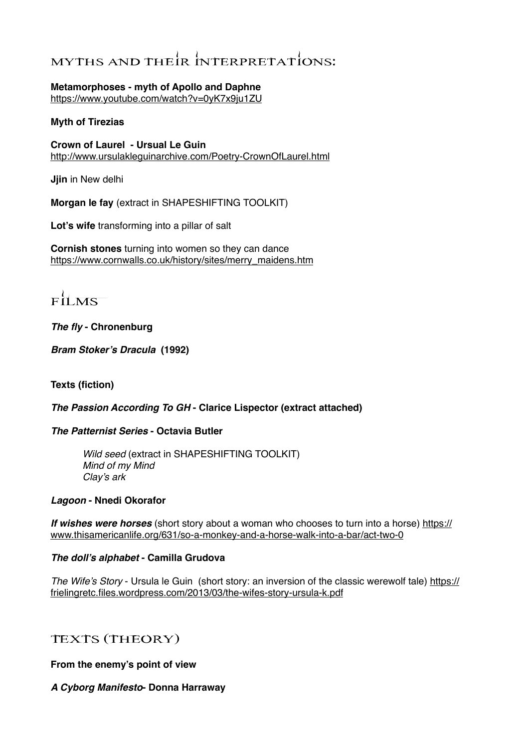# MYTHS AND THEIR INTERPRETATIONS:

#### **Metamorphoses - myth of Apollo and Daphne**

<https://www.youtube.com/watch?v=0yK7x9ju1ZU>

#### **Myth of Tirezias**

**Crown of Laurel - Ursual Le Guin**  <http://www.ursulakleguinarchive.com/Poetry-CrownOfLaurel.html>

**Jjin** in New delhi

**Morgan le fay** (extract in SHAPESHIFTING TOOLKIT)

**Lot's wife** transforming into a pillar of salt

**Cornish stones** turning into women so they can dance [https://www.cornwalls.co.uk/history/sites/merry\\_maidens.htm](https://www.cornwalls.co.uk/history/sites/merry_maidens.htm)

 $FHMS$ 

### *The fly* **- Chronenburg**

*Bram Stoker's Dracula* **(1992)** 

**Texts (fiction)**

#### *The Passion According To GH* **- Clarice Lispector (extract attached)**

#### *The Patternist Series* **- Octavia Butler**

*Wild seed* (extract in SHAPESHIFTING TOOLKIT) *Mind of my Mind Clay's ark*

#### *Lagoon* **- Nnedi Okorafor**

*If wishes were horses* (short story about a woman who chooses to turn into a horse) https:// [www.thisamericanlife.org/631/so-a-monkey-and-a-horse-walk-into-a-bar/act-two-0](https://www.thisamericanlife.org/631/so-a-monkey-and-a-horse-walk-into-a-bar/act-two-0)

#### *The doll's alphabet* **- Camilla Grudova**

*The Wife's Story* [- Ursula le Guin \(short story: an inversion of the classic werewolf tale\) https://](https://frielingretc.files.wordpress.com/2013/03/the-wifes-story-ursula-k.pdf) frielingretc.files.wordpress.com/2013/03/the-wifes-story-ursula-k.pdf

## Texts (theory)

**From the enemy's point of view**

#### *A Cyborg Manifesto***- Donna Harraway**